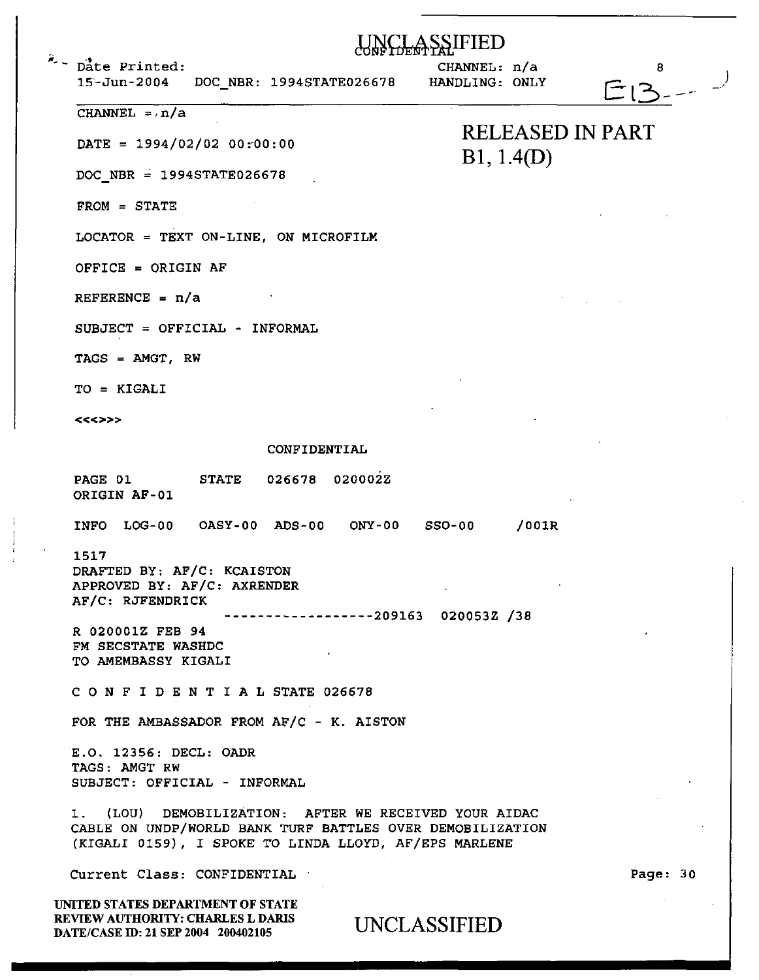|  | Date Printed:<br>$15 - Jun - 2004$<br>DOC_NBR: 1994STATE026678                                                                                                              | CHANNEL: n/a<br>HANDLING: ONLY        |       | 8<br>$\Box$ |  |
|--|-----------------------------------------------------------------------------------------------------------------------------------------------------------------------------|---------------------------------------|-------|-------------|--|
|  | CHANNEL $= \cdot n/a$                                                                                                                                                       | <b>RELEASED IN PART</b><br>B1, 1.4(D) |       |             |  |
|  | $\texttt{DATE} = 1994/02/02 00:00:00$                                                                                                                                       |                                       |       |             |  |
|  | $DOC$ NBR = 1994STATE026678                                                                                                                                                 |                                       |       |             |  |
|  | $FROM = STATE$                                                                                                                                                              |                                       |       |             |  |
|  | LOCATOR = TEXT ON-LINE, ON MICROFILM                                                                                                                                        |                                       |       |             |  |
|  | OFFICE = ORIGIN AF                                                                                                                                                          |                                       |       |             |  |
|  | REFERENCE = $n/a$                                                                                                                                                           |                                       |       |             |  |
|  | SUBJECT = OFFICIAL - INFORMAL                                                                                                                                               |                                       |       |             |  |
|  | $TACS = AMGT, RW$                                                                                                                                                           |                                       |       |             |  |
|  | TO = KIGALI                                                                                                                                                                 |                                       |       |             |  |
|  | <<<>>>                                                                                                                                                                      |                                       |       |             |  |
|  | CONFIDENTIAL                                                                                                                                                                |                                       |       |             |  |
|  | 026678 020002Z<br><b>STATE</b><br>PAGE 01<br>ORIGIN AF-01                                                                                                                   |                                       |       |             |  |
|  | INFO LOG-00 OASY-00 ADS-00 ONY-00                                                                                                                                           | <b>SSO-00</b>                         | /001R |             |  |
|  | 1517<br>DRAFTED BY: AF/C: KCAISTON<br>APPROVED BY: AF/C: AXRENDER<br>AF/C: RJFENDRICK<br>$---------209163 020053Z /38$                                                      |                                       |       |             |  |
|  | R 020001Z FEB 94<br>FM SECSTATE WASHDC<br>TO AMEMBASSY KIGALI                                                                                                               |                                       |       |             |  |
|  | CONFIDENTIAL STATE 026678                                                                                                                                                   |                                       |       |             |  |
|  | FOR THE AMBASSADOR FROM AF/C - K. AISTON                                                                                                                                    |                                       |       |             |  |
|  | E.O. 12356: DECL: OADR<br>TAGS: AMGT RW<br>SUBJECT: OFFICIAL - INFORMAL                                                                                                     |                                       |       |             |  |
|  | 1. (LOU) DEMOBILIZATION: AFTER WE RECEIVED YOUR AIDAC<br>CABLE ON UNDP/WORLD BANK TURF BATTLES OVER DEMOBILIZATION<br>(KIGALI 0159), I SPOKE TO LINDA LLOYD, AF/EPS MARLENE |                                       |       |             |  |
|  | Current Class: CONFIDENTIAL                                                                                                                                                 |                                       |       | Page: 30    |  |
|  | UNITED STATES DEPARTMENT OF STATE<br>REVIEW AUTHORITY: CHARLES L DARIS<br>DATE/CASE ID: 21 SEP 2004 200402105                                                               | UNCLASSIFIED                          |       |             |  |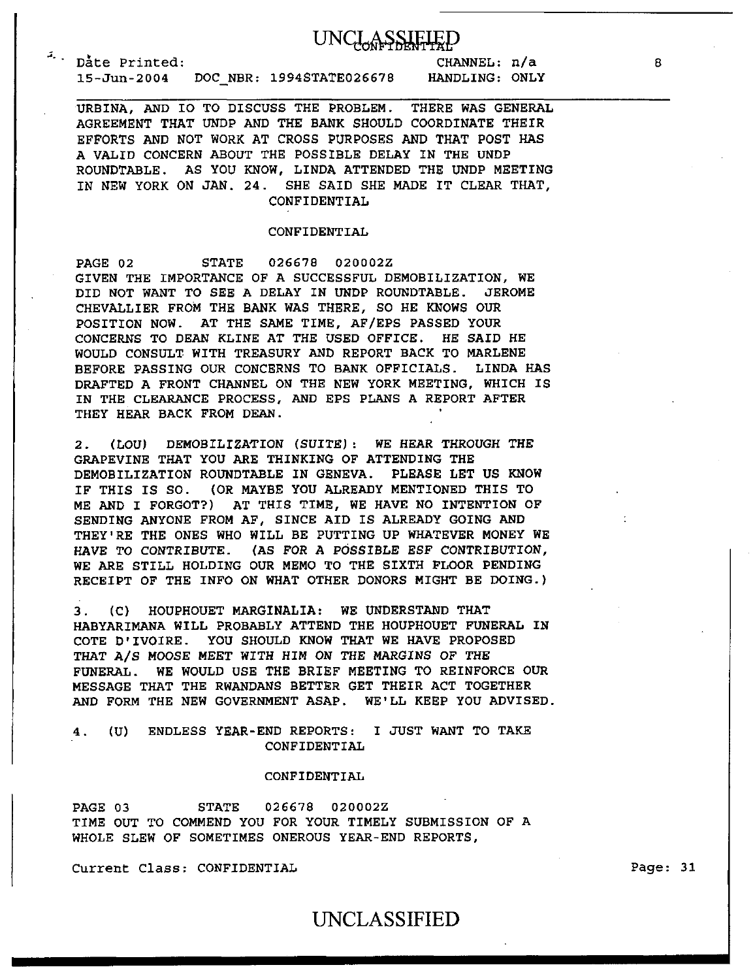### **UNCLASSIEIE**

Date Printed: 15-Jun-2004 DOC\_NBR: 1994STATE02667B

CHANNEL: n/a HANDLING: ONLY

URBINA, AND IO TO DISCUSS THE PROBLEM. THERE WAS GENERAL AGREEMENT THAT UNDP AND THE BANK SHOULD COORDINATE THEIR EFFORTS AND NOT WORK AT CROSS PURPOSES AND THAT POST HAS A VALID CONCERN ABOUT THE POSSIBLE DELAY IN THE UNDP ROUNDTABLE. AS YOU KNOW, LINDA ATTENDED THE UNDP MEETING IN NEW YORK ON JAN. 24. SHE SAID SHE MADE IT CLEAR THAT, CONFIDENTIAL

#### CONFIDENTIAL

PAGE 02 STATE 026678 020002Z GIVEN THE IMPORTANCE OF A SUCCESSFUL DEMOBILIZATION, WE DID NOT WANT TO SEE A DELAY IN UNDP ROUNDTABLE. JEROME CHEVALLIER FROM THE BANK WAS THERE, SO HE KNOWS OUR POSITION NOW. AT THE SAME TIME, AF/EPS PASSED YOUR CONCERNS TO DEAN KLINE AT THE USED OFFICE. HE SAID HE WOULD CONSULT WITH TREASURY AND REPORT BACK TO MARLENE BEFORE PASSING OUR CONCERNS TO BANK OFFICIALS. LINDA HAS DRAFTED A FRONT CHANNEL ON THE NEW YORK MEETING, WHICH IS IN THE CLEARANCE PROCESS, AND EPS PLANS A REPORT AFTER THEY HEAR BACK FROM DEAN.

2. (LOU) DEMOBILIZATION (SUITE): WE HEAR THROUGH THE GRAPEVINE THAT YOU ARE THINKING OF ATTENDING THE DEMOBILIZATION ROUNDTABLE IN GENEVA. PLEASE LET US KNOW IF THIS IS SO. (OR MAYBE YOU ALREADY MENTIONED THIS TO ME AND I FORGOT?) AT THIS TIME, WE HAVE NO INTENTION OF SENDING ANYONE FROM AF, SINCE AID IS ALREADY GOING AND THEY'RE THE ONES WHO WILL BE PUTTING UP WHATEVER MONEY WE HAVE TO CONTRIBUTE. (AS FOR A POSSIBLE ESF CONTRIBUTION, WE ARE STILL HOLDING OUR MEMO TO THE SIXTH FLOOR PENDING RECEIPT OF THE INFO ON WHAT OTHER DONORS MIGHT BE DOING.)

3. (C) HOUPHOUET MARGINALIA: WE UNDERSTAND THAT HABYARIMANA WILL PROBABLY ATTEND THE HOUPHOUET FUNERAL IN COTE D'IVOIRE. YOU SHOULD KNOW THAT WE HAVE PROPOSED THAT A/S MOOSE MEET WITH HIM *ON* THE MARGINS OF THE FUNERAL. WE WOULD USE THE BRIEF MEETING TO REINFORCE OUR MESSAGE THAT THE RWANDANS BETTER GET THEIR ACT TOGETHER AND FORM THE NEW GOVERNMENT ASAP. WE'LL KEEP YOU ADVISED.

4. (U) ENDLESS YEAR-END REPORTS: I JUST WANT TO TAKE CONFIDENTIAL

#### CONFIDENTIAL

PAGE 03 STATE 026678 020002Z TIME OUT TO COMMEND YOU FOR YOUR TIMELY SUBMISSION OF A WHOLE SLEW OF SOMETIMES ONEROUS YEAR-END REPORTS,

Current Class: CONFIDENTIAL

Page: 31

### UNCLASSIFIED

B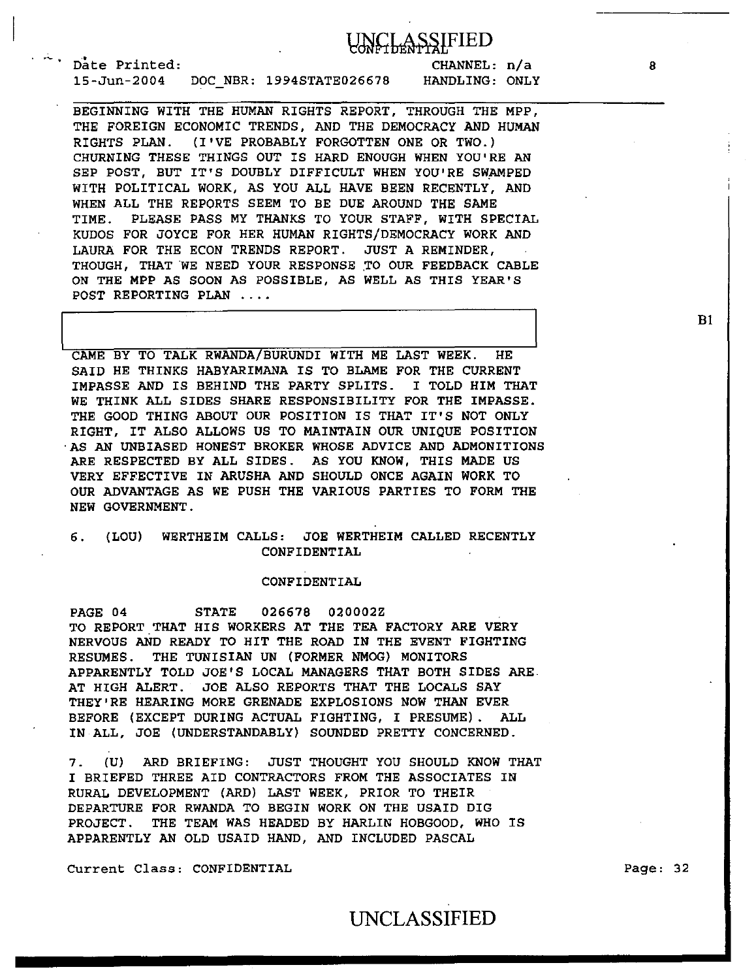## **CLASSIFIED**

Date Printed: 15-Jun-2004 DOC NBR: 1994STATE02667B

CHANNEL: n/a HANDLING: ONLY

BEGINNING WITH THE HUMAN RIGHTS REPORT, THROUGH THE MPP, THE FOREIGN ECONOMIC TRENDS, AND THE DEMOCRACY AND HUMAN RIGHTS PLAN. (I'VE PROBABLY FORGOTTEN ONE OR TWO.) CHURNING THESE THINGS OUT IS HARD ENOUGH WHEN YOU'RE AN SEP POST, BUT IT'S DOUBLY DIFFICULT WHEN YOU'RE SWAMPED WITH POLITICAL WORK, AS YOU ALL HAVE BEEN RECENTLY, AND WHEN ALL THE REPORTS SEEM TO BE DUE AROUND THE SAME TIME. PLEASE PASS MY THANKS TO YOUR STAFF, WITH SPECIAL KUDOS FOR JOYCE FOR HER HUMAN RIGHTS/DEMOCRACY WORK AND LAURA FOR THE ECON TRENDS REPORT. JUST A REMINDER, THOUGH, THAT WE NEED YOUR RESPONSE TO OUR FEEDBACK CABLE ON THE MPP AS SOON AS POSSIBLE, AS WELL AS THIS YEAR'S POST REPORTING PLAN ....

CAME BY TO TALK RWANDA/BURUNDI WITH ME LAST WEEK. HE SAID HE THINKS HABYARIMANA IS TO BLAME FOR THE CURRENT IMPASSE AND IS BEHIND THE PARTY SPLITS. I TOLD HIM THAT WE THINK ALL SIDES SHARE RESPONSIBILITY FOR THE IMPASSE. THE GOOD THING ABOUT OUR POSITION IS THAT IT'S NOT ONLY RIGHT, IT ALSO ALLOWS US TO MAINTAIN OUR UNIQUE POSITION AS AN UNBIASED HONEST BROKER WHOSE ADVICE AND ADMONITIONS ARE RESPECTED BY ALL SIDES. AS YOU KNOW, THIS MADE US VERY EFFECTIVE IN ARUSHA AND SHOULD ONCE AGAIN WORK TO OUR ADVANTAGE AS WE PUSH THE VARIOUS PARTIES TO FORM THE NEW GOVERNMENT.

#### 6. (LOU) WERTHEIM CALLS: JOE WERTHEIM CALLED RECENTLY CONFIDENTIAL

#### CONFIDENTIAL

PAGE 04 STATE 026678 020002Z TO REPORT THAT HIS WORKERS AT THE TEA FACTORY ARE VERY NERVOUS AND READY TO HIT THE ROAD IN THE EVENT FIGHTING RESUMES. THE TUNISIAN UN (FORMER NMOG) MONITORS APPARENTLY TOLD JOE'S LOCAL MANAGERS THAT BOTH SIDES ARE AT HIGH ALERT. JOE ALSO REPORTS THAT THE LOCALS SAY THEY'RE HEARING MORE GRENADE EXPLOSIONS NOW THAN EVER BEFORE (EXCEPT DURING ACTUAL FIGHTING, I PRESUME) . ALL IN ALL, JOE (UNDERSTANDABLY) SOUNDED PRETTY CONCERNED.

7. (U) ARD BRIEFING: JUST THOUGHT YOU SHOULD KNOW THAT I BRIEFED THREE AID CONTRACTORS FROM THE ASSOCIATES IN RURAL DEVELOPMENT (ARD) LAST WEEK, PRIOR TO THEIR DEPARTURE FOR RWANDA TO BEGIN WORK ON THE USAID DIG PROJECT. THE TEAM WAS HEADED BY HARLIN HOBGOOD, WHO IS APPARENTLY AN OLD USAID HAND, AND INCLUDED PASCAL

Current Class: CONFIDENTIAL

Page: 32

## UNCLASSIFIED

Bl